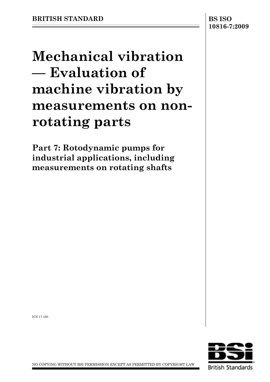# **Mechanical vibration — Evaluation of machine vibration by measurements on nonrotating parts**

**Part 7: Rotodynamic pumps for industrial applications, including measurements on rotating shafts**

ICS 17.160



NO COPYING WITHOUT BSI PERMISSION EXCEPT AS PERMITTED BY COPYRIGHT LAW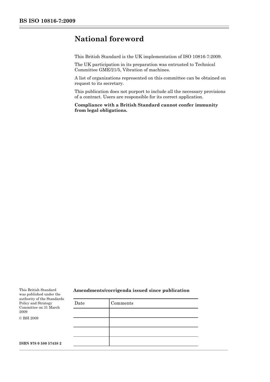# **National foreword**

This British Standard is the UK implementation of ISO 10816-7:2009.

The UK participation in its preparation was entrusted to Technical Committee GME/21/5, Vibration of machines.

A list of organizations represented on this committee can be obtained on request to its secretary.

This publication does not purport to include all the necessary provisions of a contract. Users are responsible for its correct application.

**Compliance with a British Standard cannot confer immunity from legal obligations.**

| This British Standard<br>was published under the                                   | Amendments/corrigenda issued since publication |          |  |  |
|------------------------------------------------------------------------------------|------------------------------------------------|----------|--|--|
| authority of the Standards<br>Policy and Strategy<br>Committee on 31 March<br>2009 | Date                                           | Comments |  |  |
| © BSI 2009                                                                         |                                                |          |  |  |
|                                                                                    |                                                |          |  |  |
| ISBN 978 0 580 57438 2                                                             |                                                |          |  |  |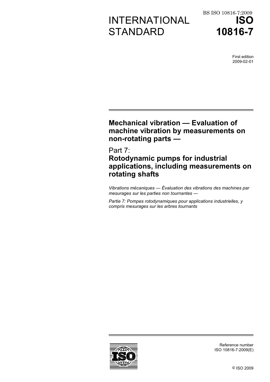# INTERNATIONAL **STANDARD**



First edition 2009-02-01

## **[Mechanical vibration — Evaluation of](#page-8-0)  machine vibration by measurements on [non-rotating parts —](#page-8-0)**

Part 7:

## **Rotodynamic pumps for industrial applications, including measurements on rotating shafts**

s mécaniques — Évaluation des vibrations des machines par<br>s sur les parties non tournantes —<br>Pompes rotodynamiques pour applications industrielles, y *Vibrations mécaniques — Évaluation des vibrations des machines par mesurages sur les parties non tournantes —* 

*[Partie 7: Pompes rotodynamiques pour applic](#page-8-0)ations industrielles, y compris mesurages sur les arbres tournants* 



Reference number ISO 10816-7:2009(E)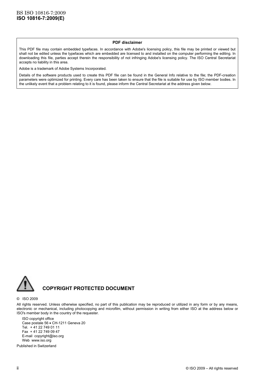#### **PDF disclaimer**

This PDF file may contain embedded typefaces. In accordance with Adobe's licensing policy, this file may be printed or viewed but shall not be edited unless the typefaces which are embedded are licensed to and installed on the computer performing the editing. In downloading this file, parties accept therein the responsibility of not infringing Adobe's licensing policy. The ISO Central Secretariat accepts no liability in this area.

Adobe is a trademark of Adobe Systems Incorporated.

Details of the software products used to create this PDF file can be found in the General Info relative to the file; the PDF-creation parameters were optimized for printing. Every care has been taken to ensure that the file is suitable for use by ISO member bodies. In the unlikely event that a problem relating to it is found, please inform the Central Secretariat at the address given below.



#### **COPYRIGHT PROTECTED DOCUMENT**

#### © ISO 2009

All rights reserved. Unless otherwise specified, no part of this publication may be reproduced or utilized in any form or by any means, electronic or mechanical, including photocopying and microfilm, without permission in writing from either ISO at the address below or ISO's member body in the country of the requester.

ISO copyright office Case postale 56 • CH-1211 Geneva 20 Tel. + 41 22 749 01 11 Fax + 41 22 749 09 47 E-mail copyright@iso.org Web www.iso.org

Published in Switzerland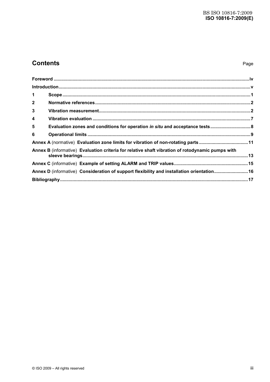## **Contents**

| $1 \quad$               |                                                                                                  |  |
|-------------------------|--------------------------------------------------------------------------------------------------|--|
| $\overline{2}$          |                                                                                                  |  |
| $\overline{\mathbf{3}}$ |                                                                                                  |  |
| 4                       |                                                                                                  |  |
| 5                       | Evaluation zones and conditions for operation in situ and acceptance tests 8                     |  |
| 6                       |                                                                                                  |  |
|                         | Annex A (normative) Evaluation zone limits for vibration of non-rotating parts11                 |  |
|                         | Annex B (informative) Evaluation criteria for relative shaft vibration of rotodynamic pumps with |  |
|                         |                                                                                                  |  |
|                         | Annex D (informative) Consideration of support flexibility and installation orientation 16       |  |
|                         |                                                                                                  |  |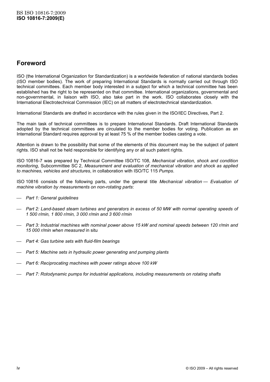## <span id="page-5-0"></span>**Foreword**

ISO (the International Organization for Standardization) is a worldwide federation of national standards bodies (ISO member bodies). The work of preparing International Standards is normally carried out through ISO technical committees. Each member body interested in a subject for which a technical committee has been established has the right to be represented on that committee. International organizations, governmental and non-governmental, in liaison with ISO, also take part in the work. ISO collaborates closely with the International Electrotechnical Commission (IEC) on all matters of electrotechnical standardization.

International Standards are drafted in accordance with the rules given in the ISO/IEC Directives, Part 2.

The main task of technical committees is to prepare International Standards. Draft International Standards adopted by the technical committees are circulated to the member bodies for voting. Publication as an International Standard requires approval by at least 75 % of the member bodies casting a vote.

Attention is drawn to the possibility that some of the elements of this document may be the subject of patent rights. ISO shall not be held responsible for identifying any or all such patent rights.

ISO 10816-7 was prepared by Technical Committee ISO/TC 108, *Mechanical vibration, shock and condition monitoring*, Subcommittee SC 2, *Measurement and evaluation of mechanical vibration and shock as applied to machines, vehicles and structures*, in collaboration with ISO/TC 115 *Pumps*.

ISO 10816 consists of the following parts, under the general title *Mechanical vibration — Evaluation of*<br>machine vibration by measurements on non-rotating parts:<br>— Part 1: General guidelines *machine vibration by measurements on non-rotating parts*:

- ⎯ *Part 1: General guidelines*
- Part 2: Land-based steam turbines and generators in excess of 50 MW with normal operating speeds of *1 500 r/min, 1 800 r/min, 3 000 r/min and 3 600 r/min*
- ⎯ *Part 3: Industrial machines with nominal power above 15 kW and nominal speeds between 120 r/min and 15 000 r/min when measured* in situ
- ⎯ *Part 4: Gas turbine sets with fluid-film bearings*
- Part 5: Machine sets in hydraulic power generating and pumping plants
- Part 6: Reciprocating machines with power ratings above 100 kW
- Part 7: Rotodynamic pumps for industrial applications, including measurements on rotating shafts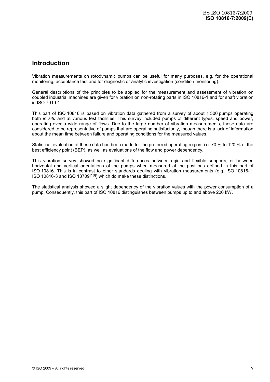## <span id="page-6-0"></span>**Introduction**

Vibration measurements on rotodynamic pumps can be useful for many purposes, e.g. for the operational monitoring, acceptance test and for diagnostic or analytic investigation (condition monitoring).

General descriptions of the principles to be applied for the measurement and assessment of vibration on coupled industrial machines are given for vibration on non-rotating parts in ISO 10816-1 and for shaft vibration in ISO 7919-1.

This part of ISO 10816 is based on vibration data gathered from a survey of about 1 500 pumps operating both *in situ* and at various test facilities. This survey included pumps of different types, speed and power, operating over a wide range of flows. Due to the large number of vibration measurements, these data are considered to be representative of pumps that are operating satisfactorily, though there is a lack of information about the mean time between failure and operating conditions for the measured values.

Statistical evaluation of these data has been made for the preferred operating region, i.e. 70 % to 120 % of the best efficiency point (BEP), as well as evaluations of the flow and power dependency.

This vibration survey showed no significant differences between rigid and flexible supports, or between horizontal and vertical orientations of the pumps when measured at the positions defined in this part of ISO 10816. This is in contrast to other standards dealing with vibration measurements (e.g. ISO 10816-1, ISO 10816-3 and ISO 13709[10]) which do make these distinctions.

ency of the vibration values with the power consumption of a<br>inguishes between pumps up to and above 200 kW. The statistical analysis showed a slight dependency of the vibration values with the power consumption of a pump. Consequently, this part of ISO 10816 distinguishes between pumps up to and above 200 kW.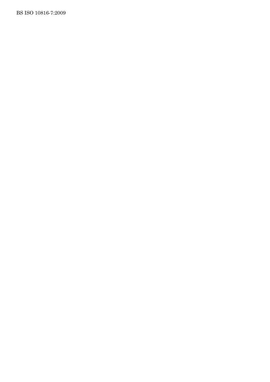BS ISO 10816-7:2009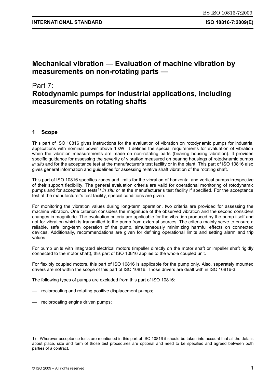## **[Mechanical vibration — Evaluation of machine vibration by](#page-8-0)  measurements on non-rotating parts —**

## <span id="page-8-0"></span>[Part 7:](#page-8-0)  **Rotodynamic pumps for industrial applications, including measurements on rotating shafts**

#### <span id="page-8-1"></span>**1 Scope**

This part of ISO 10816 gives instructions for the evaluation of vibration on rotodynamic pumps for industrial applications with nominal power above 1 kW. It defines the special requirements for evaluation of vibration when the vibration measurements are made on non-rotating parts (bearing housing vibration). It provides specific guidance for assessing the severity of vibration measured on bearing housings of rotodynamic pumps *in situ* and for the acceptance test at the manufacturer's test facility or in the plant. This part of ISO 10816 also gives general information and guidelines for assessing relative shaft vibration of the rotating shaft.

S for the vibration of horizonial and vertical pumps in espective<br>on criteria are valid for operational monitoring of rotodynamic<br>he manufacturer's test facility if specified. For the acceptance<br>nditions are given. This part of ISO 10816 specifies zones and limits for the vibration of horizontal and vertical pumps irrespective of their support flexibility. The general evaluation criteria are valid for operational monitoring of rotodynamic pumps and for acceptance tests<sup>[1\)](#page-8-2)</sup> in situ or at the manufacturer's test facility if specified. For the acceptance test at the manufacturer's test facility, special conditions are given.

For monitoring the vibration values during long-term operation, two criteria are provided for assessing the machine vibration. One criterion considers the magnitude of the observed vibration and the second considers changes in magnitude. The evaluation criteria are applicable for the vibration produced by the pump itself and not for vibration which is transmitted to the pump from external sources. The criteria mainly serve to ensure a reliable, safe long-term operation of the pump, simultaneously minimizing harmful effects on connected devices. Additionally, recommendations are given for defining operational limits and setting alarm and trip values.

For pump units with integrated electrical motors (impeller directly on the motor shaft or impeller shaft rigidly connected to the motor shaft), this part of ISO 10816 applies to the whole coupled unit.

For flexibly coupled motors, this part of ISO 10816 is applicable for the pump only. Also, separately mounted drivers are not within the scope of this part of ISO 10816. Those drivers are dealt with in ISO 10816-3.

The following types of pumps are excluded from this part of ISO 10816:

- ⎯ reciprocating and rotating positive displacement pumps;
- $-$  reciprocating engine driven pumps:

l

<span id="page-8-2"></span><sup>1)</sup> Wherever acceptance tests are mentioned in this part of ISO 10816 it should be taken into account that all the details about place, size and form of those test procedures are optional and need to be specified and agreed between both parties of a contract.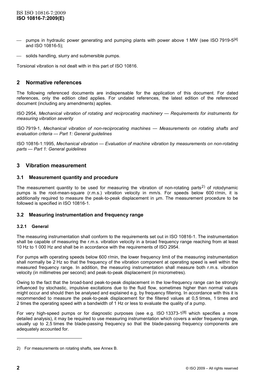- pumps in hydraulic power generating and pumping plants with power above 1 MW (see ISO 7919-5<sup>[4]</sup> and ISO 10816-5);
- solids handling, slurry and submersible pumps.

Torsional vibration is not dealt with in this part of ISO 10816.

#### <span id="page-9-0"></span>**2 Normative references**

The following referenced documents are indispensable for the application of this document. For dated references, only the edition cited applies. For undated references, the latest edition of the referenced document (including any amendments) applies.

ISO 2954, *Mechanical vibration of rotating and reciprocating machinery — Requirements for instruments for measuring vibration severity*

ISO 7919-1, *Mechanical vibration of non-reciprocating machines — Measurements on rotating shafts and evaluation criteria — Part 1: General guidelines*

ISO 10816-1:1995, *Mechanical vibration — Evaluation of machine vibration by measurements on non-rotating parts — Part 1: General guidelines*

#### <span id="page-9-1"></span>**3 Vibration measurement**

#### **3.1 Measurement quantity and procedure**

The measurement quantity to be used for measuring the vibration of non-rotating parts<sup>2)</sup> of rotodynamic<br>pumps is the root-mean-square (r.m.s.) vibration velocity in mm/s. For speeds below 600 r/min, it is<br>additionally re The measurement quantity to be used for measuring the vibration of non-rotating parts<sup>2)</sup> of rotodynamic pumps is the root-mean-square (r.m.s.) vibration velocity in mm/s. For speeds below 600 r/min, it is followed is specified in ISO 10816-1.

#### **3.2 Measuring instrumentation and frequency range**

#### **3.2.1 General**

The measuring instrumentation shall conform to the requirements set out in ISO 10816-1. The instrumentation shall be capable of measuring the r.m.s. vibration velocity in a broad frequency range reaching from at least 10 Hz to 1 000 Hz and shall be in accordance with the requirements of ISO 2954.

For pumps with operating speeds below 600 r/min, the lower frequency limit of the measuring instrumentation shall normally be 2 Hz so that the frequency of the vibration component at operating speed is well within the measured frequency range. In addition, the measuring instrumentation shall measure both r.m.s. vibration velocity (in millimetres per second) and peak-to-peak displacement (in micrometres).

Owing to the fact that the broad-band peak-to-peak displacement in the low-frequency range can be strongly influenced by stochastic, impulsive excitations due to the fluid flow, sometimes higher than normal values might occur and should then be analysed and explained e.g. by frequency filtering. In accordance with this it is recommended to measure the peak-to-peak displacement for the filtered values at 0,5 times, 1 times and 2 times the operating speed with a bandwidth of 1 Hz or less to evaluate the quality of a pump.

For very high-speed pumps or for diagnostic purposes (see e.g. ISO 13373-1<sup>[8]</sup> which specifies a more detailed analysis), it may be required to use measuring instrumentation which covers a wider frequency range, usually up to 2,5 times the blade-passing frequency so that the blade-passing frequency components are adequately accounted for.

l

<span id="page-9-2"></span><sup>2)</sup> For measurements on rotating shafts, see Annex B.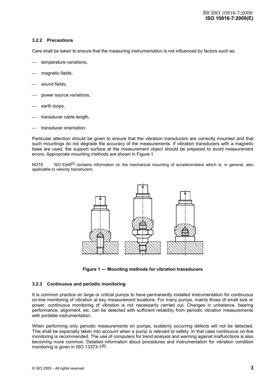#### **3.2.2 Precautions**

Care shall be taken to ensure that the measuring instrumentation is not influenced by factors such as:

- temperature variations,
- magnetic fields,
- sound fields.
- power source variations,
- earth loops.
- transducer cable length,
- transducer orientation.

Particular attention should be given to ensure that the vibration transducers are correctly mounted and that such mountings do not degrade the accuracy of the measurements. If vibration transducers with a magnetic base are used, the support surface at the measurement object should be prepared to avoid measurement errors. Appropriate mounting methods are shown in Figure 1.

NOTE ISO 5348<sup>[2]</sup> contains information on the mechanical mounting of accelerometers which is, in general, also applicable to velocity transducers.



**Figure 1 — Mounting methods for vibration transducers** 

#### **3.2.3 Continuous and periodic monitoring**

It is common practice on large or critical pumps to have permanently installed instrumentation for continuous on-line monitoring of vibration at key measurement locations. For many pumps, mainly those of small size or power, continuous monitoring of vibration is not necessarily carried out. Changes in unbalance, bearing performance, alignment, etc. can be detected with sufficient reliability from periodic vibration measurements with portable instrumentation.

When performing only periodic measurements on pumps, suddenly occurring defects will not be detected. This shall be especially taken into account when a pump is relevant to safety. In that case continuous on-line monitoring is recommended. The use of computers for trend analysis and warning against malfunctions is also becoming more common. Detailed information about procedures and instrumentation for vibration condition monitoring is given in ISO 13373-1<sup>[8]</sup>.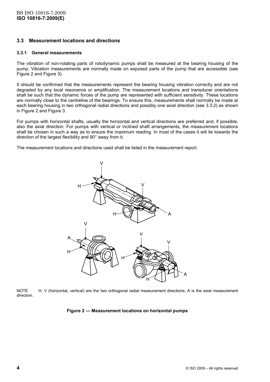#### **3.3 Measurement locations and directions**

#### **3.3.1 General measurements**

The vibration of non-rotating parts of rotodynamic pumps shall be measured at the bearing housing of the pump. Vibration measurements are normally made on exposed parts of the pump that are accessible (see Figure 2 and Figure 3).

It should be confirmed that the measurements represent the bearing housing vibration correctly and are not degraded by any local resonance or amplification. The measurement locations and transducer orientations shall be such that the dynamic forces of the pump are represented with sufficient sensitivity. These locations are normally close to the centreline of the bearings. To ensure this, measurements shall normally be made at each bearing housing in two orthogonal radial directions and possibly one axial direction (see 3.3.2) as shown in Figure 2 and Figure 3.

For pumps with horizontal shafts, usually the horizontal and vertical directions are preferred and, if possible, also the axial direction. For pumps with vertical or inclined shaft arrangements, the measurement locations shall be chosen in such a way as to ensure the maximum reading. In most of the cases it will lie towards the direction of the largest flexibility and 90° away from it.

The measurement locations and directions used shall be listed in the measurement report.



NOTE H, V (horizontal, vertical) are the two orthogonal radial measurement directions; A is the axial measurement direction.

#### **Figure 2 — Measurement locations on horizontal pumps**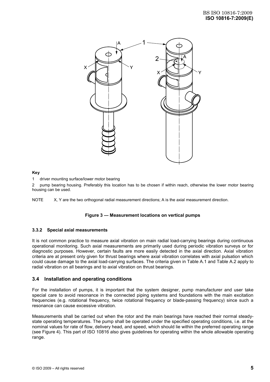

**Key** 

1 driver mounting surface/lower motor bearing

pump bearing bousing. Preferably this location has to be chosen if within reach, otherwise the lower motor bearing<br>housing can be used.<br>NOTE X, Y are the two orthogonal radial measurement directions; A is the axial measure housing can be used.

NOTE X, Y are the two orthogonal radial measurement directions; A is the axial measurement direction.

#### **Figure 3 — Measurement locations on vertical pumps**

#### **3.3.2 Special axial measurements**

It is not common practice to measure axial vibration on main radial load-carrying bearings during continuous operational monitoring. Such axial measurements are primarily used during periodic vibration surveys or for diagnostic purposes. However, certain faults are more easily detected in the axial direction. Axial vibration criteria are at present only given for thrust bearings where axial vibration correlates with axial pulsation which could cause damage to the axial load-carrying surfaces. The criteria given in Table A.1 and Table A.2 apply to radial vibration on all bearings and to axial vibration on thrust bearings.

#### **3.4 Installation and operating conditions**

For the installation of pumps, it is important that the system designer, pump manufacturer and user take special care to avoid resonance in the connected piping systems and foundations with the main excitation frequencies (e.g. rotational frequency, twice rotational frequency or blade-passing frequency) since such a resonance can cause excessive vibration.

Measurements shall be carried out when the rotor and the main bearings have reached their normal steadystate operating temperatures. The pump shall be operated under the specified operating conditions, i.e. at the nominal values for rate of flow, delivery head, and speed, which should lie within the preferred operating range (see Figure 4). This part of ISO 10816 also gives guidelines for operating within the whole allowable operating range.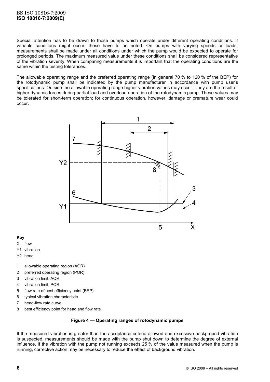#### BS ISO 10816-7:2009 **ISO 10816-7:2009(E)**

Special attention has to be drawn to those pumps which operate under different operating conditions. If variable conditions might occur, these have to be noted. On pumps with varying speeds or loads, measurements shall be made under all conditions under which the pump would be expected to operate for prolonged periods. The maximum measured value under these conditions shall be considered representative of the vibration severity. When comparing measurements it is important that the operating conditions are the same within the testing tolerances.

The allowable operating range and the preferred operating range (in general 70 % to 120 % of the BEP) for the rotodynamic pump shall be indicated by the pump manufacturer in accordance with pump user's specifications. Outside the allowable operating range higher vibration values may occur. They are the result of higher dynamic forces during partial-load and overload operation of the rotodynamic pump. These values may be tolerated for short-term operation; for continuous operation, however, damage or premature wear could occur.



#### **Key**

- X flow
- Y1 vibration
- Y2 head
- 1 allowable operating region (AOR)
- 2 preferred operating region (POR)
- 3 vibration limit, AOR
- 4 vibration limit, POR
- 5 flow rate of best efficiency point (BEP)
- 6 typical vibration characteristic
- 7 head-flow rate curve
- 8 best efficiency point for head and flow rate

#### **Figure 4 — Operating ranges of rotodynamic pumps**

If the measured vibration is greater than the acceptance criteria allowed and excessive background vibration is suspected, measurements should be made with the pump shut down to determine the degree of external influence. If the vibration with the pump not running exceeds 25 % of the value measured when the pump is running, corrective action may be necessary to reduce the effect of background vibration.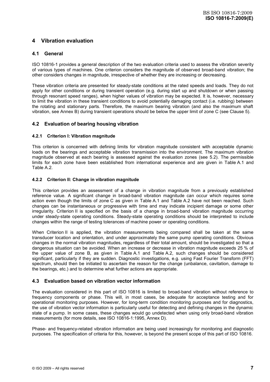#### <span id="page-14-0"></span>**4 Vibration evaluation**

#### **4.1 General**

ISO 10816-1 provides a general description of the two evaluation criteria used to assess the vibration severity of various types of machines. One criterion considers the magnitude of observed broad-band vibration; the other considers changes in magnitude, irrespective of whether they are increasing or decreasing.

These vibration criteria are presented for steady-state conditions at the rated speeds and loads. They do not apply for other conditions or during transient operation (e.g. during start up and shutdown or when passing through resonant speed ranges), when higher values of vibration may be expected. It is, however, necessary to limit the vibration in these transient conditions to avoid potentially damaging contact (i.e. rubbing) between the rotating and stationary parts. Therefore, the maximum bearing vibration (and also the maximum shaft vibration, see Annex B) during transient operations should be below the upper limit of zone C (see Clause 5).

#### **4.2 Evaluation of bearing housing vibration**

#### **4.2.1 Criterion I: Vibration magnitude**

This criterion is concerned with defining limits for vibration magnitude consistent with acceptable dynamic loads on the bearings and acceptable vibration transmission into the environment. The maximum vibration magnitude observed at each bearing is assessed against the evaluation zones (see 5.2). The permissible limits for each zone have been established from international experience and are given in Table A.1 and Table A 2

#### **4.2.2 Criterion II: Change in vibration magnitude**

nange in vibration magnitude from a previously established<br>d-band vibration magnitude can occur which requires some<br>en in Table A 1 and Table A 2 have not been reached Such This criterion provides an assessment of a change in vibration magnitude from a previously established reference value. A significant change in broad-band vibration magnitude can occur which requires some action even though the limits of zone C as given in Table A.1 and Table A.2 have not been reached. Such changes can be instantaneous or progressive with time and may indicate incipient damage or some other irregularity. Criterion II is specified on the basis of a change in broad-band vibration magnitude occurring under steady-state operating conditions. Steady-state operating conditions should be interpreted to include changes within the range of testing tolerances of machine power or operating conditions.

When Criterion II is applied, the vibration measurements being compared shall be taken at the same transducer location and orientation, and under approximately the same pump operating conditions. Obvious changes in the normal vibration magnitudes, regardless of their total amount, should be investigated so that a dangerous situation can be avoided. When an increase or decrease in vibration magnitude exceeds 25 % of the upper value of zone B, as given in Table A.1 and Table A.2, such changes should be considered significant, particularly if they are sudden. Diagnostic investigations, e.g. using Fast Fourier Transform (FFT) spectrum, should then be initiated to ascertain the reason for the change (unbalance, cavitation, damage to the bearings, etc.) and to determine what further actions are appropriate.

#### **4.3 Evaluation based on vibration vector information**

The evaluation considered in this part of ISO 10816 is limited to broad-band vibration without reference to frequency components or phase. This will, in most cases, be adequate for acceptance testing and for operational monitoring purposes. However, for long-term condition monitoring purposes and for diagnostics, the use of vibration vector information is particularly useful for detecting and defining changes in the dynamic state of a pump. In some cases, these changes would go undetected when using only broad-band vibration measurements (for more details, see ISO 10816-1:1995, Annex D).

Phase- and frequency-related vibration information are being used increasingly for monitoring and diagnostic purposes. The specification of criteria for this, however, is beyond the present scope of this part of ISO 10816.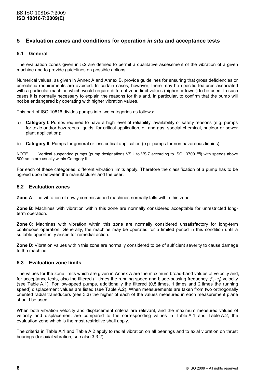#### <span id="page-15-0"></span>**5 Evaluation zones and conditions for operation** *in situ* **and acceptance tests**

#### **5.1 General**

The evaluation zones given in 5.2 are defined to permit a qualitative assessment of the vibration of a given machine and to provide guidelines on possible actions.

Numerical values, as given in Annex A and Annex B, provide guidelines for ensuring that gross deficiencies or unrealistic requirements are avoided. In certain cases, however, there may be specific features associated with a particular machine which would require different zone limit values (higher or lower) to be used. In such cases it is normally necessary to explain the reasons for this and, in particular, to confirm that the pump will not be endangered by operating with higher vibration values.

This part of ISO 10816 divides pumps into two categories as follows:

- a) **Category I**: Pumps required to have a high level of reliability, availability or safety reasons (e.g. pumps for toxic and/or hazardous liquids; for critical application, oil and gas, special chemical, nuclear or power plant application);
- b) **Category II**: Pumps for general or less critical application (e.g. pumps for non hazardous liquids).

NOTE Vertical suspended pumps (pump designations VS 1 to VS 7 according to ISO 13709<sup>[10]</sup>) with speeds above 600 r/min are usually within Category II.

For each of these categories, different vibration limits apply. Therefore the classification of a pump has to be agreed upon between the manufacturer and the user.

#### **5.2 Evaluation zones**

we.<br>with this some the some that we have the some the some that we have the some that the some that the some that <br>with the some that the some that the some that the some that the some that the some that the some that the **Zone A**: The vibration of newly commissioned machines normally falls within this zone.

**Zone B**: Machines with vibration within this zone are normally considered acceptable for unrestricted longterm operation.

**Zone C**: Machines with vibration within this zone are normally considered unsatisfactory for long-term continuous operation. Generally, the machine may be operated for a limited period in this condition until a suitable opportunity arises for remedial action.

**Zone D**: Vibration values within this zone are normally considered to be of sufficient severity to cause damage to the machine.

#### **5.3 Evaluation zone limits**

The values for the zone limits which are given in Annex A are the maximum broad-band values of velocity and, for acceptance tests, also the filtered (1 times the running speed and blade-passing frequency, *f* <sup>n</sup> ⋅ *z*<sup>i</sup> ) velocity (see Table A.1). For low-speed pumps, additionally the filtered (0,5 times, 1 times and 2 times the running speed) displacement values are listed (see Table A.2). When measurements are taken from two orthogonally oriented radial transducers (see 3.3) the higher of each of the values measured in each measurement plane should be used.

When both vibration velocity and displacement criteria are relevant, and the maximum measured values of velocity and displacement are compared to the corresponding values in Table A.1 and Table A.2, the evaluation zone which is the most restrictive shall apply.

The criteria in Table A.1 and Table A.2 apply to radial vibration on all bearings and to axial vibration on thrust bearings (for axial vibration, see also 3.3.2).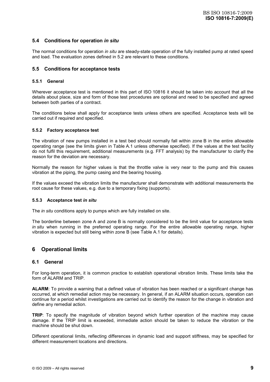#### **5.4 Conditions for operation** *in situ*

The normal conditions for operation *in situ* are steady-state operation of the fully installed pump at rated speed and load. The evaluation zones defined in 5.2 are relevant to these conditions.

#### **5.5 Conditions for acceptance tests**

#### **5.5.1 General**

Wherever acceptance test is mentioned in this part of ISO 10816 it should be taken into account that all the details about place, size and form of those test procedures are optional and need to be specified and agreed between both parties of a contract.

The conditions below shall apply for acceptance tests unless others are specified. Acceptance tests will be carried out if required and specified.

#### **5.5.2 Factory acceptance test**

The vibration of new pumps installed in a test bed should normally fall within zone B in the entire allowable operating range (see the limits given in Table A.1 unless otherwise specified). If the values at the test facility do not fulfil this requirement, additional measurements (e.g. FFT analysis) by the manufacturer to clarify the reason for the deviation are necessary.

Normally the reason for higher values is that the throttle valve is very near to the pump and this causes vibration at the piping, the pump casing and the bearing housing.

If the values exceed the vibration limits the manufacturer shall demonstrate with additional measurements the<br>root cause for these values, e.g. due to a temporary fixing (supports).<br>5.5.3 Acceptance test *in situ* root cause for these values, e.g. due to a temporary fixing (supports).

#### **5.5.3 Acceptance test** *in situ*

The *in situ* conditions apply to pumps which are fully installed on site.

The borderline between zone A and zone B is normally considered to be the limit value for acceptance tests *in situ* when running in the preferred operating range. For the entire allowable operating range, higher vibration is expected but still being within zone B (see Table A.1 for details).

#### <span id="page-16-0"></span>**6 Operational limits**

#### **6.1 General**

For long-term operation, it is common practice to establish operational vibration limits. These limits take the form of ALARM and TRIP.

**ALARM**: To provide a warning that a defined value of vibration has been reached or a significant change has occurred, at which remedial action may be necessary. In general, if an ALARM situation occurs, operation can continue for a period whilst investigations are carried out to identify the reason for the change in vibration and define any remedial action.

**TRIP**: To specify the magnitude of vibration beyond which further operation of the machine may cause damage. If the TRIP limit is exceeded, immediate action should be taken to reduce the vibration or the machine should be shut down.

Different operational limits, reflecting differences in dynamic load and support stiffness, may be specified for different measurement locations and directions.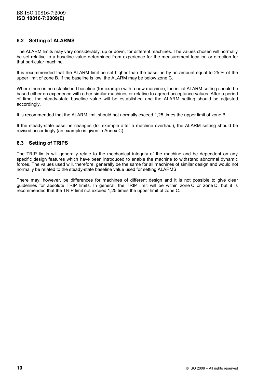#### **6.2 Setting of ALARMS**

The ALARM limits may vary considerably, up or down, for different machines. The values chosen will normally be set relative to a baseline value determined from experience for the measurement location or direction for that particular machine.

It is recommended that the ALARM limit be set higher than the baseline by an amount equal to 25 % of the upper limit of zone B. If the baseline is low, the ALARM may be below zone C.

Where there is no established baseline (for example with a new machine), the initial ALARM setting should be based either on experience with other similar machines or relative to agreed acceptance values. After a period of time, the steady-state baseline value will be established and the ALARM setting should be adjusted accordingly.

It is recommended that the ALARM limit should not normally exceed 1,25 times the upper limit of zone B.

If the steady-state baseline changes (for example after a machine overhaul), the ALARM setting should be revised accordingly (an example is given in Annex C).

#### **6.3 Setting of TRIPS**

The TRIP limits will generally relate to the mechanical integrity of the machine and be dependent on any specific design features which have been introduced to enable the machine to withstand abnormal dynamic forces. The values used will, therefore, generally be the same for all machines of similar design and would not normally be related to the steady-state baseline value used for setting ALARMS.

There may, nowever, be differences for machines of different design and it is not possible to give clear<br>guidelines for absolute TRIP limits. In general, the TRIP limit will be within zone C or zone D, but it is<br>recommende There may, however, be differences for machines of different design and it is not possible to give clear recommended that the TRIP limit not exceed 1,25 times the upper limit of zone C.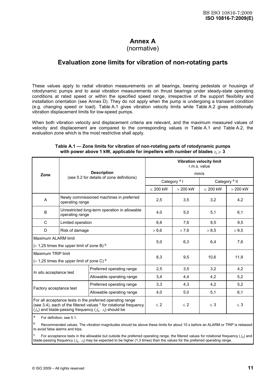# **Annex A**

## <span id="page-18-0"></span>(normative)

## **Evaluation zone limits for vibration of non-rotating parts**

These values apply to radial vibration measurements on all bearings, bearing pedestals or housings of rotodynamic pumps and to axial vibration measurements on thrust bearings under steady-state operating conditions at rated speed or within the specified speed range, irrespective of the support flexibility and installation orientation (see Annex D). They do not apply when the pump is undergoing a transient condition (e.g. changing speed or load). Table A.1 gives vibration velocity limits while Table A.2 gives additionally vibration displacement limits for low-speed pumps.

When both vibration velocity and displacement criteria are relevant, and the maximum measured values of velocity and displacement are compared to the corresponding values in Table A.1 and Table A.2, the evaluation zone which is the most restrictive shall apply.

|                                                                                   |                                                                  |                                                                                                                                                                                                              | <b>Vibration velocity limit</b><br>r.m.s. value |               |                          |               |  |
|-----------------------------------------------------------------------------------|------------------------------------------------------------------|--------------------------------------------------------------------------------------------------------------------------------------------------------------------------------------------------------------|-------------------------------------------------|---------------|--------------------------|---------------|--|
| Zone                                                                              |                                                                  | <b>Description</b><br>(see 5.2 for details of zone definitions)                                                                                                                                              |                                                 | mm/s          |                          |               |  |
|                                                                                   |                                                                  |                                                                                                                                                                                                              | Category <sup>a</sup> I                         |               | Category <sup>a</sup> II |               |  |
|                                                                                   |                                                                  |                                                                                                                                                                                                              | $\leqslant$ 200 kW                              | $>$ 200 kW    | $\leqslant$ 200 kW       | $>$ 200 kW    |  |
| A                                                                                 | Newly commissioned machines in preferred<br>operating range      |                                                                                                                                                                                                              | 2,5                                             | 3,5           | 3,2                      | 4,2           |  |
| B                                                                                 | Unrestricted long-term operation in allowable<br>operating range |                                                                                                                                                                                                              | 4,0                                             | 5,0           | 5,1                      | 6,1           |  |
| C                                                                                 | Limited operation                                                |                                                                                                                                                                                                              | 6,6                                             | 7,6           | 8,5                      | 9,5           |  |
| D                                                                                 | Risk of damage                                                   |                                                                                                                                                                                                              | > 6.6                                           | > 7,6         | > 8.5                    | > 9,5         |  |
| Maximum ALARM limit                                                               |                                                                  | 5,0                                                                                                                                                                                                          | 6,3                                             | 6,4           | 7,6                      |               |  |
|                                                                                   | ( $\approx$ 1,25 times the upper limit of zone B) b              |                                                                                                                                                                                                              |                                                 |               |                          |               |  |
| Maximum TRIP limit                                                                |                                                                  | 8,3                                                                                                                                                                                                          | 9,5                                             | 10.6          | 11,9                     |               |  |
|                                                                                   | $\approx$ 1,25 times the upper limit of zone C) b                |                                                                                                                                                                                                              |                                                 |               |                          |               |  |
| In situ acceptance test                                                           |                                                                  | Preferred operating range                                                                                                                                                                                    | 2,5                                             | 3,5           | 3,2                      | 4,2           |  |
|                                                                                   |                                                                  | Allowable operating range                                                                                                                                                                                    | 3,4                                             | 4,4           | 4,2                      | 5,2           |  |
| Preferred operating range<br>Factory acceptance test<br>Allowable operating range |                                                                  | 3,3                                                                                                                                                                                                          | 4,3                                             | 4,2           | 5,2                      |               |  |
|                                                                                   |                                                                  | 4,0                                                                                                                                                                                                          | 5,0                                             | 5,1           | 6,1                      |               |  |
|                                                                                   |                                                                  | For all acceptance tests in the preferred operating range<br>(see 3.4), each of the filtered values <sup>c</sup> for rotational frequency<br>$(f_n)$ and blade-passing frequency $(f_n \cdot z_i)$ should be | $\leqslant$ 2                                   | $\leqslant$ 2 | $\leqslant$ 3            | $\leqslant$ 3 |  |

#### **Table A.1 — Zone limits for vibration of non-rotating parts of rotodynamic pumps**  with power above 1 kW, applicable for impellers with number of blades  $z_i \geq 3$

For definition, see 5.1.

<sup>b</sup> Recommended values. The vibration magnitudes should be above these limits for about 10 s before an ALARM or TRIP is released to avoid false alarms and trips.

<sup>c</sup> For acceptance tests in the allowable but outside the preferred operating range, the filtered values for rotational frequency  $(f_n)$  and blade-passing frequency ( $f_\text{n} \cdot z_\text{i}$ ) may be expected to be higher (1,3 times) than the values for the preferred operating range.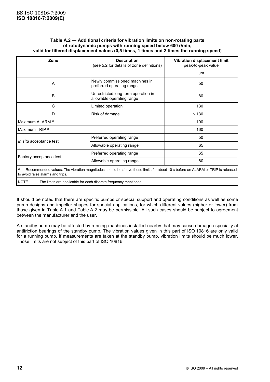#### **Table A.2 — Additional criteria for vibration limits on non-rotating parts of rotodynamic pumps with running speed below 600 r/min, valid for filtered displacement values (0,5 times, 1 times and 2 times the running speed)**

| Zone                                    | <b>Description</b><br>(see 5.2 for details of zone definitions)                                                              | <b>Vibration displacement limit</b><br>peak-to-peak value |  |
|-----------------------------------------|------------------------------------------------------------------------------------------------------------------------------|-----------------------------------------------------------|--|
|                                         |                                                                                                                              | μm                                                        |  |
| A                                       | Newly commissioned machines in<br>preferred operating range                                                                  | 50                                                        |  |
| B                                       | Unrestricted long-term operation in<br>allowable operating range                                                             | 80                                                        |  |
| C                                       | Limited operation                                                                                                            | 130                                                       |  |
| D                                       | Risk of damage                                                                                                               | >130                                                      |  |
| Maximum ALARM <sup>a</sup>              |                                                                                                                              | 100                                                       |  |
| Maximum TRIP <sup>a</sup>               |                                                                                                                              | 160                                                       |  |
|                                         | Preferred operating range                                                                                                    | 50                                                        |  |
| In situ acceptance test                 | Allowable operating range                                                                                                    | 65                                                        |  |
|                                         | Preferred operating range                                                                                                    | 65                                                        |  |
| Factory acceptance test                 | Allowable operating range                                                                                                    | 80                                                        |  |
| l a<br>to avoid false alarms and trips. | Recommended values. The vibration magnitudes should be above these limits for about 10 s before an ALARM or TRIP is released |                                                           |  |

NOTE The limits are applicable for each discrete frequency mentioned.

NOTE The limits are applicable for each discrete frequency mentioned.<br>It should be noted that there are specific pumps or special support and operating conditions as well as some pump designs and impeller shapes for special applications, for which different values (higher or lower) from those given in Table A.1 and Table A.2 may be permissible. All such cases should be subject to agreement between the manufacturer and the user.

A standby pump may be affected by running machines installed nearby that may cause damage especially at antifriction bearings of the standby pump. The vibration values given in this part of ISO 10816 are only valid for a running pump. If measurements are taken at the standby pump, vibration limits should be much lower. Those limits are not subject of this part of ISO 10816.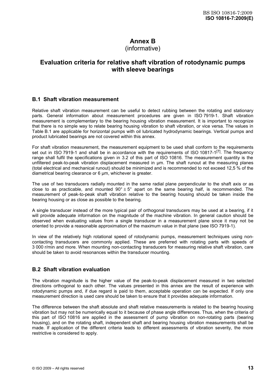## **Annex B**

### <span id="page-20-0"></span>(informative)

## **Evaluation criteria for relative shaft vibration of rotodynamic pumps with sleeve bearings**

#### **B.1 Shaft vibration measurement**

Relative shaft vibration measurement can be useful to detect rubbing between the rotating and stationary parts. General information about measurement procedures are given in ISO 7919-1. Shaft vibration measurement is complementary to the bearing housing vibration measurement. It is important to recognize that there is no simple way to relate bearing housing vibration to shaft vibration, or vice versa. The values in Table B.1 are applicable for horizontal pumps with oil lubricated hydrodynamic bearings. Vertical pumps and product lubricated bearings are not covered within this annex.

For shaft vibration measurement, the measurement equipment to be used shall conform to the requirements set out in ISO 7919-1 and shall be in accordance with the requirements of ISO 10817-1<sup>[7]</sup>. The frequency range shall fulfil the specifications given in 3.2 of this part of ISO 10816. The measurement quantity is the unfiltered peak-to-peak vibration displacement measured in µm. The shaft runout at the measuring planes (total electrical and mechanical runout) should be minimized and is recommended to not exceed 12,5 % of the diametrical bearing clearance or 6 um, whichever is greater.

If the same radial plane perpendicular to the shaft axis or as<br>5° apart on the same bearing half, is recommended. The<br>relative to the bearing housing should be taken inside the<br>earing. The use of two transducers radially mounted in the same radial plane perpendicular to the shaft axis or as close to as practicable, and mounted  $90^{\circ} \pm 5^{\circ}$  apart on the same bearing half, is recommended. The measurement of peak-to-peak shaft vibration relative to the bearing housing should be taken inside the bearing housing or as close as possible to the bearing.

A single transducer instead of the more typical pair of orthogonal transducers may be used at a bearing, if it will provide adequate information on the magnitude of the machine vibration. In general caution should be observed when evaluating values from a single transducer in a measurement plane since it may not be oriented to provide a reasonable approximation of the maximum value in that plane (see ISO 7919-1).

In view of the relatively high rotational speed of rotodynamic pumps, measurement techniques using noncontacting transducers are commonly applied. These are preferred with rotating parts with speeds of 3 000 r/min and more. When mounting non-contacting transducers for measuring relative shaft vibration, care should be taken to avoid resonances within the transducer mounting.

#### **B.2 Shaft vibration evaluation**

The vibration magnitude is the higher value of the peak-to-peak displacement measured in two selected directions orthogonal to each other. The values presented in this annex are the result of experience with rotodynamic pumps and, if due regard is paid to them, acceptable operation can be expected. If only one measurement direction is used care should be taken to ensure that it provides adequate information.

The difference between the shaft absolute and shaft relative measurements is related to the bearing housing vibration but may not be numerically equal to it because of phase angle differences. Thus, when the criteria of this part of ISO 10816 are applied in the assessment of pump vibration on non-rotating parts (bearing housing), and on the rotating shaft, independent shaft and bearing housing vibration measurements shall be made. If application of the different criteria leads to different assessments of vibration severity, the more restrictive is considered to apply.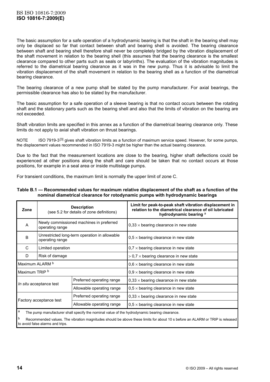The basic assumption for a safe operation of a hydrodynamic bearing is that the shaft in the bearing shell may only be displaced so far that contact between shaft and bearing shell is avoided. The bearing clearance between shaft and bearing shell therefore shall never be completely bridged by the vibration displacement of the shaft movement in relation to the bearing shell (this assumes that the bearing clearance is the smallest clearance compared to other parts such as seals or labyrinths). The evaluation of the vibration magnitudes is referred to the diametrical bearing clearance as it was in the new pump. Thus it is advisable to limit the vibration displacement of the shaft movement in relation to the bearing shell as a function of the diametrical bearing clearance.

The bearing clearance of a new pump shall be stated by the pump manufacturer. For axial bearings, the permissible clearance has also to be stated by the manufacturer.

The basic assumption for a safe operation of a sleeve bearing is that no contact occurs between the rotating shaft and the stationary parts such as the bearing shell and also that the limits of vibration on the bearing are not exceeded.

Shaft vibration limits are specified in this annex as a function of the diametrical bearing clearance only. These limits do not apply to axial shaft vibration on thrust bearings.

NOTE ISO 7919-3<sup>[3]</sup> gives shaft vibration limits as a function of maximum service speed. However, for some pumps, the displacement values recommended in ISO 7919-3 might be higher than the actual bearing clearance.

Due to the fact that the measurement locations are close to the bearing, higher shaft deflections could be experienced at other positions along the shaft and care should be taken that no contact occurs at those positions, for example in a seal area or inside multistage pumps.

For transient conditions, the maximum limit is normally the upper limit of zone C.

## ative displacement of the shaft as a function of the<br>amic pumps with hydrodynamic bearings **Table B.1 — Recommended values for maximum relative displacement of the shaft as a function of the nominal diametrical clearance for rotodynamic pumps with hydrodynamic bearings**

| Zone                    | <b>Description</b><br>(see 5.2 for details of zone definitions)  |                           | Limit for peak-to-peak shaft vibration displacement in<br>relation to the diametrical clearance of oil lubricated<br>hydrodynamic bearing a |  |
|-------------------------|------------------------------------------------------------------|---------------------------|---------------------------------------------------------------------------------------------------------------------------------------------|--|
| A                       | Newly commissioned machines in preferred<br>operating range      |                           | $0,33 \times$ bearing clearance in new state                                                                                                |  |
| B                       | Unrestricted long-term operation in allowable<br>operating range |                           | $0.5 \times$ bearing clearance in new state                                                                                                 |  |
| C                       | Limited operation                                                |                           | $0.7 \times$ bearing clearance in new state                                                                                                 |  |
| D                       | Risk of damage                                                   |                           | $> 0.7 \times$ bearing clearance in new state                                                                                               |  |
| Maximum ALARM b         |                                                                  |                           | $0.6 \times$ bearing clearance in new state                                                                                                 |  |
| Maximum TRIP b          |                                                                  |                           | $0.9 \times$ bearing clearance in new state                                                                                                 |  |
|                         |                                                                  | Preferred operating range | $0,33 \times$ bearing clearance in new state                                                                                                |  |
| In situ acceptance test | Allowable operating range                                        |                           | $0.5 \times$ bearing clearance in new state                                                                                                 |  |
| Factory acceptance test |                                                                  | Preferred operating range | $0,33 \times$ bearing clearance in new state                                                                                                |  |
|                         |                                                                  | Allowable operating range | $0.5 \times$ bearing clearance in new state                                                                                                 |  |

The pump manufacturer shall specify the nominal value of the hydrodynamic bearing clearance.

Recommended values. The vibration magnitudes should be above these limits for about 10 s before an ALARM or TRIP is released to avoid false alarms and trips.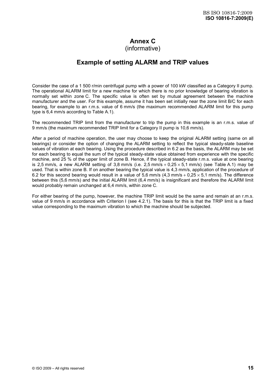## **Annex C**

### <span id="page-22-0"></span>(informative)

## **Example of setting ALARM and TRIP values**

Consider the case of a 1 500 r/min centrifugal pump with a power of 100 kW classified as a Category II pump. The operational ALARM limit for a new machine for which there is no prior knowledge of bearing vibration is normally set within zone C. The specific value is often set by mutual agreement between the machine manufacturer and the user. For this example, assume it has been set initially near the zone limit B/C for each bearing, for example to an r.m.s. value of 6 mm/s (the maximum recommended ALARM limit for this pump type is 6,4 mm/s according to Table A.1).

The recommended TRIP limit from the manufacturer to trip the pump in this example is an r.m.s. value of 9 mm/s (the maximum recommended TRIP limit for a Category II pump is 10,6 mm/s).

After a period of machine operation, the user may choose to keep the original ALARM setting (same on all bearings) or consider the option of changing the ALARM setting to reflect the typical steady-state baseline values of vibration at each bearing. Using the procedure described in 6.2 as the basis, the ALARM may be set for each bearing to equal the sum of the typical steady-state value obtained from experience with the specific machine, and 25 % of the upper limit of zone B. Hence, if the typical steady-state r.m.s. value at one bearing is 2.5 mm/s, a new ALARM setting of 3.8 mm/s (i.e. 2.5 mm/s + 0.25  $\times$  5.1 mm/s) (see Table A.1) may be used. That is within zone B. If on another bearing the typical value is 4,3 mm/s, application of the procedure of 6.2 for this second bearing would result in a value of 5,6 mm/s  $(4.3 \text{ mm/s} + 0.25 \times 5.1 \text{ mm/s})$ . The difference between this (5,6 mm/s) and the initial ALARM limit (6,4 mm/s) is insignificant and therefore the ALARM limit would probably remain unchanged at 6,4 mm/s, within zone C.

between this (5,0 mm/s) and the finite ALARM finit (6,4 mm/s) is fisignificant and therefore the ALARM finit<br>would probably remain unchanged at 6,4 mm/s, within zone C.<br>For either bearing of the pump, however, the machine value of 9 mm/s in accordance with Criterion I (see 4.2.1). The basis for this is that the TRIP limit is a fixed value corresponding to the maximum vibration to which the machine should be subjected.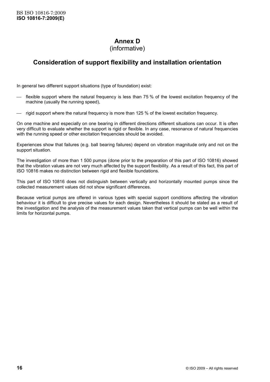## **Annex D**

#### <span id="page-23-0"></span>(informative)

## **Consideration of support flexibility and installation orientation**

In general two different support situations (type of foundation) exist:

- flexible support where the natural frequency is less than 75 % of the lowest excitation frequency of the machine (usually the running speed),
- rigid support where the natural frequency is more than 125 % of the lowest excitation frequency.

On one machine and especially on one bearing in different directions different situations can occur. It is often very difficult to evaluate whether the support is rigid or flexible. In any case, resonance of natural frequencies with the running speed or other excitation frequencies should be avoided.

Experiences show that failures (e.g. ball bearing failures) depend on vibration magnitude only and not on the support situation.

The investigation of more than 1 500 pumps (done prior to the preparation of this part of ISO 10816) showed that the vibration values are not very much affected by the support flexibility. As a result of this fact, this part of ISO 10816 makes no distinction between rigid and flexible foundations.

This part of ISO 10816 does not distinguish between vertically and horizontally mounted pumps since the<br>collected measurement values did not show significant differences.<br>Because vertical pumps are offered in various types This part of ISO 10816 does not distinguish between vertically and horizontally mounted pumps since the collected measurement values did not show significant differences.

behaviour it is difficult to give precise values for each design. Nevertheless it should be stated as a result of the investigation and the analysis of the measurement values taken that vertical pumps can be well within the limits for horizontal pumps.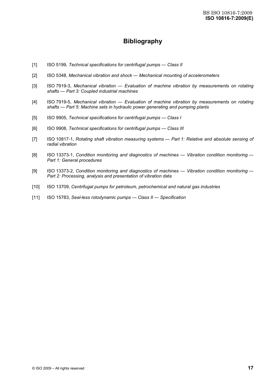## <span id="page-24-0"></span>**Bibliography**

- [1] ISO 5199, *Technical specifications for centrifugal pumps Class II*
- [2] ISO 5348, *Mechanical vibration and shock Mechanical mounting of accelerometers*
- [3] ISO 7919-3, *Mechanical vibration Evaluation of machine vibration by measurements on rotating shafts — Part 3: Coupled industrial machines*
- [4] ISO 7919-5, *Mechanical vibration Evaluation of machine vibration by measurements on rotating shafts — Part 5: Machine sets in hydraulic power generating and pumping plants*
- [5] ISO 9905, *Technical specifications for centrifugal pumps Class I*
- [6] ISO 9908, *Technical specifications for centrifugal pumps Class III*
- [7] ISO 10817-1, *Rotating shaft vibration measuring systems Part 1: Relative and absolute sensing of radial vibration*
- [8] ISO 13373-1, *Condition monitoring and diagnostics of machines Vibration condition monitoring Part 1: General procedures*
- [9] ISO 13373-2, *Condition monitoring and diagnostics of machines Vibration condition monitoring Part 2: Processing, analysis and presentation of vibration data*
- eum, petrochemical and natural gas industries<br>s Class II Specification [10] ISO 13709, *Centrifugal pumps for petroleum, petrochemical and natural gas industries*
- [11] ISO 15783, *Seal-less rotodynamic pumps Class II Specification*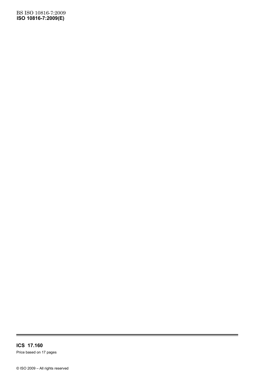BS ISO 10816-7:2009 **ISO 10816-7:2009(E)** 

**ICS 17.160**  Price based on 17 pages